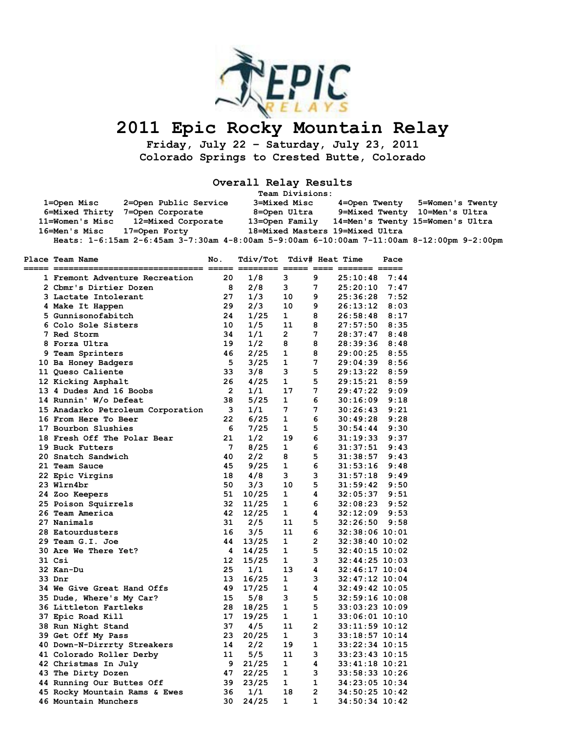

## **2011 Epic Rocky Mountain Relay**

**Friday, July 22 – Saturday, July 23, 2011 Colorado Springs to Crested Butte, Colorado** 

**Overall Relay Results** 

|                 |                                                                                            | Team Divisions:                 |               |                                  |
|-----------------|--------------------------------------------------------------------------------------------|---------------------------------|---------------|----------------------------------|
| 1=Open Misc     | 2=Open Public Service                                                                      | 3=Mixed Misc                    | 4=Open Twenty | 5=Women's Twenty                 |
| 6=Mixed Thirty  | 7=Open Corporate                                                                           | 8=Open Ultra                    |               | 9=Mixed Twenty 10=Men's Ultra    |
| 11=Women's Misc | 12=Mixed Corporate                                                                         | 13=Open Family                  |               | 14=Men's Twenty 15=Women's Ultra |
| 16=Men's Misc   | 17=Open Forty                                                                              | 18=Mixed Masters 19=Mixed Ultra |               |                                  |
|                 | Heats: 1-6:15am 2-6:45am 3-7:30am 4-8:00am 5-9:00am 6-10:00am 7-11:00am 8-12:00pm 9-2:00pm |                                 |               |                                  |

| Place Team Name                   | No.            | Tdiv/Tot<br>---- ----- -------- |              |              | Tdiv# Heat Time<br>===== ==== ======= ===== | Pace |
|-----------------------------------|----------------|---------------------------------|--------------|--------------|---------------------------------------------|------|
| 1 Fremont Adventure Recreation    | 20             | 1/8                             | 3            | 9            | 25:10:48                                    | 7:44 |
| 2 Cbmr's Dirtier Dozen            | 8              | 2/8                             | 3            | 7            | 25:20:10                                    | 7:47 |
| 3 Lactate Intolerant              | 27             | 1/3                             | 10           | 9            | 25:36:28                                    | 7:52 |
| 4 Make It Happen                  | 29             | 2/3                             | 10           | 9            | 26:13:12                                    | 8:03 |
| 5 Gunnisonofabitch                | 24             | 1/25                            | $\mathbf{1}$ | 8            | 26:58:48                                    | 8:17 |
| 6 Colo Sole Sisters               | 10             | 1/5                             | 11           | 8            | 27:57:50                                    | 8:35 |
| 7 Red Storm                       | 34             | 1/1                             | 2            | 7            | 28:37:47                                    | 8:48 |
| 8 Forza Ultra                     | 19             | 1/2                             | 8            | 8            | 28:39:36                                    | 8:48 |
| 9 Team Sprinters                  | 46             | 2/25                            | 1            | 8            | 29:00:25                                    | 8:55 |
| 10 Ba Honey Badgers               | 5              | 3/25                            | 1            | 7            | 29:04:39                                    | 8:56 |
| 11 Queso Caliente                 | 33             | 3/8                             | з            | 5            | 29:13:22                                    | 8:59 |
| 12 Kicking Asphalt                | 26             | 4/25                            | 1            | 5            | 29:15:21                                    | 8:59 |
| 13 4 Dudes And 16 Boobs           | $\overline{2}$ | 1/1                             | 17           | 7            | 29:47:22                                    | 9:09 |
| 14 Runnin' W/o Defeat             | 38             | 5/25                            | 1            | 6            | 30:16:09                                    | 9:18 |
| 15 Anadarko Petroleum Corporation | 3              | 1/1                             | 7            | 7            | 30:26:43                                    | 9:21 |
| 16 From Here To Beer              | 22             | 6/25                            | 1            | 6            | 30:49:28                                    | 9:28 |
| 17 Bourbon Slushies               | 6              | 7/25                            | 1            | 5            | 30:54:44                                    | 9:30 |
| 18 Fresh Off The Polar Bear       | 21             | 1/2                             | 19           | 6            | 31:19:33                                    | 9:37 |
| 19 Buck Futters                   | 7              | 8/25                            | 1            | 6            | 31:37:51                                    | 9:43 |
| 20 Snatch Sandwich                | 40             | 2/2                             | 8            | 5            | 31:38:57                                    | 9:43 |
| 21 Team Sauce                     | 45             | 9/25                            | 1            | 6            | 31:53:16                                    | 9:48 |
| 22 Epic Virgins                   | 18             | 4/8                             | 3            | 3            | 31:57:18                                    | 9:49 |
| 23 Wlrn4br                        | 50             | 3/3                             | 10           | 5            | 31:59:42                                    | 9:50 |
| 24 Zoo Keepers                    | 51             | 10/25                           | 1            | 4            | 32:05:37                                    | 9:51 |
| 25 Poison Squirrels               | 32             | 11/25                           | 1            | 6            | 32:08:23                                    | 9:52 |
| 26 Team America                   | 42             | 12/25                           | 1            | 4            | 32:12:09                                    | 9:53 |
| 27 Nanimals                       | 31             | 2/5                             | 11           | 5            | 32:26:50                                    | 9:58 |
| 28 Eatourdusters                  | 16             | 3/5                             | 11           | 6            | $32:38:06$ 10:01                            |      |
| 29 Team G.I. Joe                  | 44             | 13/25                           | 1            | $\mathbf{2}$ | $32:38:40$ 10:02                            |      |
| 30 Are We There Yet?              | 4              | 14/25                           | 1            | 5            | $32:40:15$ 10:02                            |      |
| 31 Csi                            | 12             | 15/25                           | 1            | 3            | $32:44:25$ 10:03                            |      |
| 32 Kan-Du                         | 25             | 1/1                             | 13           | 4            | $32:46:17$ 10:04                            |      |
| $33 \, \text{Dnr}$                | 13             | 16/25                           | 1            | 3            | $32:47:12$ 10:04                            |      |
| 34 We Give Great Hand Offs        | 49             | 17/25                           | 1            | 4            | $32:49:42$ 10:05                            |      |
| 35 Dude, Where's My Car?          | 15             | 5/8                             | з            | 5            | $32:59:16$ 10:08                            |      |
| 36 Littleton Fartleks             | 28             | 18/25                           | 1            | 5            | $33:03:23$ 10:09                            |      |
| 37 Epic Road Kill                 | 17             | 19/25                           | 1            | $\mathbf{1}$ | $33:06:01$ 10:10                            |      |
| 38 Run Night Stand                | 37             | 4/5                             | 11           | $\mathbf{2}$ | 33:11:59 10:12                              |      |
| 39 Get Off My Pass                | 23             | 20/25                           | $\mathbf{1}$ | 3            | 33:18:57 10:14                              |      |
| 40 Down-N-Dirrrty Streakers       | 14             | 2/2                             | 19           | $\mathbf{1}$ | $33:22:34$ 10:15                            |      |
| 41 Colorado Roller Derby          | 11             | 5/5                             | 11           | 3            | 33:23:43 10:15                              |      |
| 42 Christmas In July              | 9              | 21/25                           | 1            | 4            | $33:41:18$ 10:21                            |      |
| 43 The Dirty Dozen                | 47             | 22/25                           | 1            | з            | 33:58:33 10:26                              |      |
| 44 Running Our Buttes Off         | 39             | 23/25                           | 1            | $\mathbf{1}$ | 34:23:05 10:34                              |      |
| 45 Rocky Mountain Rams & Ewes     | 36             | 1/1                             | 18           | $\mathbf{2}$ | $34:50:25$ 10:42                            |      |
| 46 Mountain Munchers              | 30             | 24/25                           | 1            | 1            | 34:50:34 10:42                              |      |